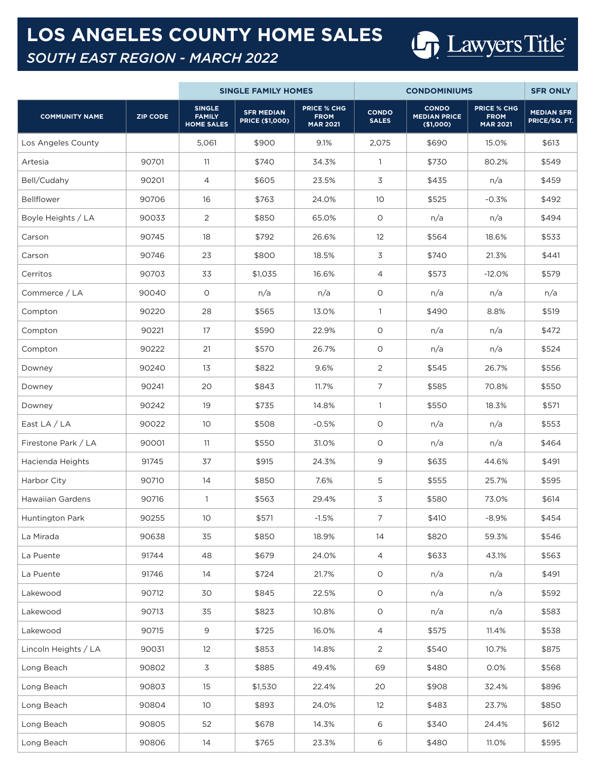## **LOS ANGELES COUNTY HOME SALES**

## *SOUTH EAST REGION - MARCH 2022*

|                       |                 | <b>SINGLE FAMILY HOMES</b>                          |                                             |                                                      |                              | <b>SFR ONLY</b>                                  |                                                      |                                    |
|-----------------------|-----------------|-----------------------------------------------------|---------------------------------------------|------------------------------------------------------|------------------------------|--------------------------------------------------|------------------------------------------------------|------------------------------------|
| <b>COMMUNITY NAME</b> | <b>ZIP CODE</b> | <b>SINGLE</b><br><b>FAMILY</b><br><b>HOME SALES</b> | <b>SFR MEDIAN</b><br><b>PRICE (\$1,000)</b> | <b>PRICE % CHG</b><br><b>FROM</b><br><b>MAR 2021</b> | <b>CONDO</b><br><b>SALES</b> | <b>CONDO</b><br><b>MEDIAN PRICE</b><br>(\$1,000) | <b>PRICE % CHG</b><br><b>FROM</b><br><b>MAR 2021</b> | <b>MEDIAN SFR</b><br>PRICE/SQ. FT. |
| Los Angeles County    |                 | 5,061                                               | \$900                                       | 9.1%                                                 | 2,075                        | \$690                                            | 15.0%                                                | \$613                              |
| Artesia               | 90701           | 11                                                  | \$740                                       | 34.3%                                                | $\mathbf{1}$                 | \$730                                            | 80.2%                                                | \$549                              |
| Bell/Cudahy           | 90201           | 4                                                   | \$605                                       | 23.5%                                                | 3                            | \$435                                            | n/a                                                  | \$459                              |
| Bellflower            | 90706           | 16                                                  | \$763                                       | 24.0%                                                | 10                           | \$525                                            | $-0.3%$                                              | \$492                              |
| Boyle Heights / LA    | 90033           | 2                                                   | \$850                                       | 65.0%                                                | O                            | n/a                                              | n/a                                                  | \$494                              |
| Carson                | 90745           | 18                                                  | \$792                                       | 26.6%                                                | 12                           | \$564                                            | 18.6%                                                | \$533                              |
| Carson                | 90746           | 23                                                  | \$800                                       | 18.5%                                                | 3                            | \$740                                            | 21.3%                                                | \$441                              |
| Cerritos              | 90703           | 33                                                  | \$1,035                                     | 16.6%                                                | $\overline{4}$               | \$573                                            | $-12.0%$                                             | \$579                              |
| Commerce / LA         | 90040           | O                                                   | n/a                                         | n/a                                                  | O                            | n/a                                              | n/a                                                  | n/a                                |
| Compton               | 90220           | 28                                                  | \$565                                       | 13.0%                                                | $\mathbf{1}$                 | \$490                                            | 8.8%                                                 | \$519                              |
| Compton               | 90221           | 17                                                  | \$590                                       | 22.9%                                                | O                            | n/a                                              | n/a                                                  | \$472                              |
| Compton               | 90222           | 21                                                  | \$570                                       | 26.7%                                                | O                            | n/a                                              | n/a                                                  | \$524                              |
| Downey                | 90240           | 13                                                  | \$822                                       | 9.6%                                                 | 2                            | \$545                                            | 26.7%                                                | \$556                              |
| Downey                | 90241           | 20                                                  | \$843                                       | 11.7%                                                | $\overline{7}$               | \$585                                            | 70.8%                                                | \$550                              |
| Downey                | 90242           | 19                                                  | \$735                                       | 14.8%                                                | $\mathbf{1}$                 | \$550                                            | 18.3%                                                | \$571                              |
| East LA / LA          | 90022           | 10                                                  | \$508                                       | $-0.5%$                                              | O                            | n/a                                              | n/a                                                  | \$553                              |
| Firestone Park / LA   | 90001           | 11                                                  | \$550                                       | 31.0%                                                | O                            | n/a                                              | n/a                                                  | \$464                              |
| Hacienda Heights      | 91745           | 37                                                  | \$915                                       | 24.3%                                                | 9                            | \$635                                            | 44.6%                                                | \$491                              |
| Harbor City           | 90710           | 14                                                  | \$850                                       | 7.6%                                                 | 5                            | \$555                                            | 25.7%                                                | \$595                              |
| Hawaiian Gardens      | 90716           | $\mathbf{1}$                                        | \$563                                       | 29.4%                                                | 3                            | \$580                                            | 73.0%                                                | \$614                              |
| Huntington Park       | 90255           | 10                                                  | \$571                                       | $-1.5%$                                              | 7                            | \$410                                            | $-8.9%$                                              | \$454                              |
| La Mirada             | 90638           | 35                                                  | \$850                                       | 18.9%                                                | 14                           | \$820                                            | 59.3%                                                | \$546                              |
| La Puente             | 91744           | 48                                                  | \$679                                       | 24.0%                                                | $\overline{4}$               | \$633                                            | 43.1%                                                | \$563                              |
| La Puente             | 91746           | 14                                                  | \$724                                       | 21.7%                                                | $\hbox{O}$                   | n/a                                              | n/a                                                  | \$491                              |
| Lakewood              | 90712           | 30                                                  | \$845                                       | 22.5%                                                | $\circ$                      | n/a                                              | n/a                                                  | \$592                              |
| Lakewood              | 90713           | 35                                                  | \$823                                       | 10.8%                                                | $\mathsf O$                  | n/a                                              | n/a                                                  | \$583                              |
| Lakewood              | 90715           | $\mathsf 9$                                         | \$725                                       | 16.0%                                                | $\overline{4}$               | \$575                                            | 11.4%                                                | \$538                              |
| Lincoln Heights / LA  | 90031           | 12                                                  | \$853                                       | 14.8%                                                | $\overline{2}$               | \$540                                            | 10.7%                                                | \$875                              |
| Long Beach            | 90802           | $\mathsf 3$                                         | \$885                                       | 49.4%                                                | 69                           | \$480                                            | 0.0%                                                 | \$568                              |
| Long Beach            | 90803           | 15                                                  | \$1,530                                     | 22.4%                                                | 20                           | \$908                                            | 32.4%                                                | \$896                              |
| Long Beach            | 90804           | 10 <sup>°</sup>                                     | \$893                                       | 24.0%                                                | 12                           | \$483                                            | 23.7%                                                | \$850                              |
| Long Beach            | 90805           | 52                                                  | \$678                                       | 14.3%                                                | 6                            | \$340                                            | 24.4%                                                | \$612                              |
| Long Beach            | 90806           | 14                                                  | \$765                                       | 23.3%                                                | $\,$ 6 $\,$                  | \$480                                            | 11.0%                                                | \$595                              |

Lawyers Title